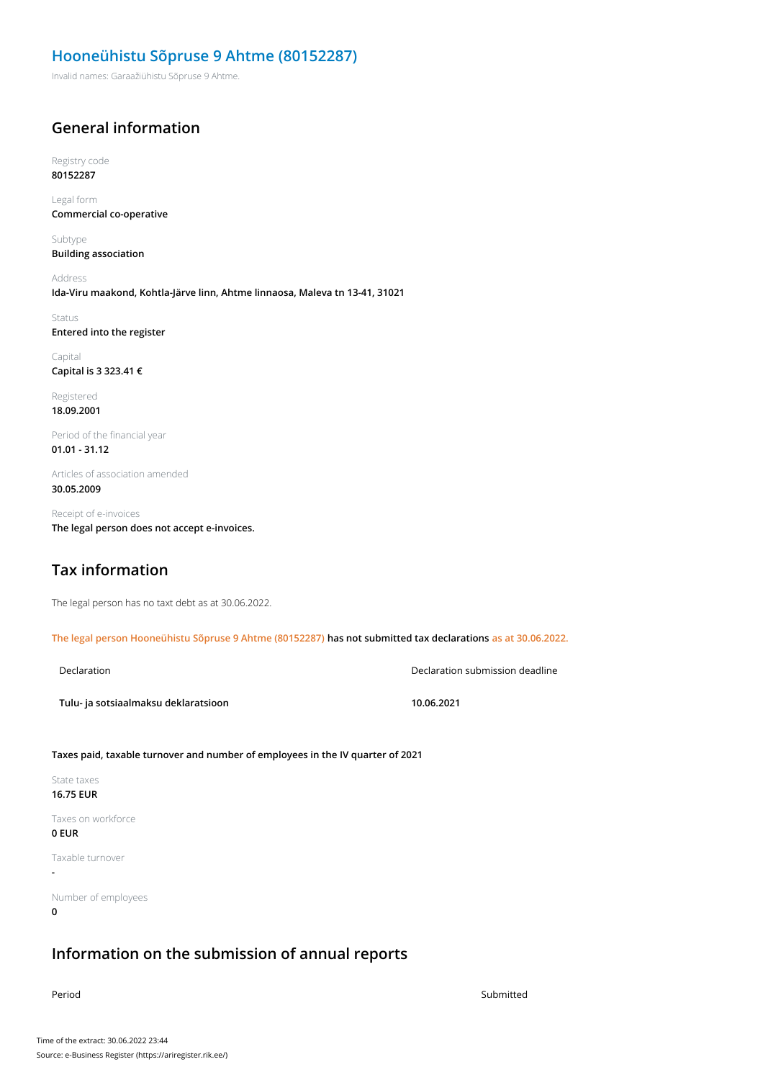### **Hooneühistu Sõpruse 9 Ahtme (80152287)**

Invalid names: Garaažiühistu Sõpruse 9 Ahtme.

### **General information**

Registry code **80152287**

Legal form **Commercial co-operative**

Subtype **Building association**

Address **Ida-Viru maakond, Kohtla-Järve linn, Ahtme linnaosa, Maleva tn 13-41, 31021**

Status **Entered into the register**

Capital **Capital is 3 323.41 €**

Registered **18.09.2001**

Period of the financial year **01.01 - 31.12**

Articles of association amended **30.05.2009**

Receipt of e-invoices **The legal person does not accept e-invoices.**

# **Tax information**

The legal person has no taxt debt as at 30.06.2022.

**The legal person Hooneühistu Sõpruse 9 Ahtme (80152287) has not submitted tax declarations as at 30.06.2022.**

Declaration Declaration submission deadline

**Tulu- ja sotsiaalmaksu deklaratsioon 10.06.2021**

**Taxes paid, taxable turnover and number of employees in the IV quarter of 2021**

State taxes **16.75 EUR**

Taxes on workforce **0 EUR**

Taxable turnover **-**

Number of employees **0**

### **Information on the submission of annual reports**

Period Submitted